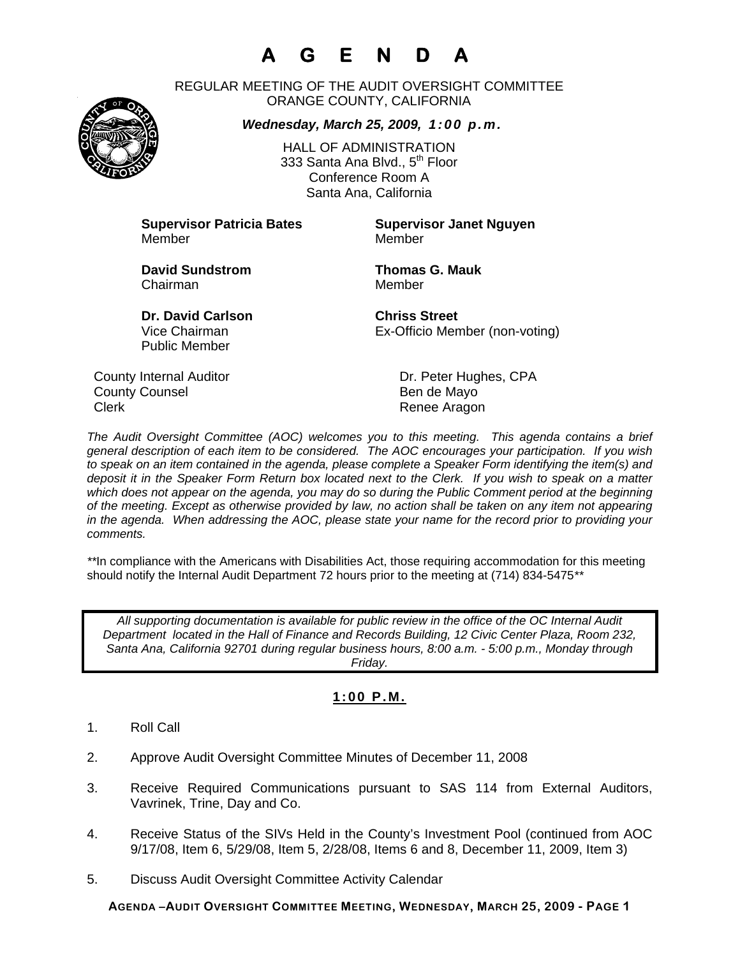# **A G E N D A**

REGULAR MEETING OF THE AUDIT OVERSIGHT COMMITTEE ORANGE COUNTY, CALIFORNIA

### *Wednesday, March 25, 2009, 1:00 p.m.*



HALL OF ADMINISTRATION 333 Santa Ana Blvd., 5<sup>th</sup> Floor Conference Room A Santa Ana, California

**Supervisor Patricia Bates Supervisor Janet Nguyen** Member Member

**David Sundstrom Thomas G. Mauk**  Chairman Member

Public Member

**Dr. David Carlson Chriss Street** Vice Chairman Ex-Officio Member (non-voting)

County Internal Auditor County Internal Auditor County Dr. Peter Hughes, CPA County Counsel **Bende Mayo** Clerk **Clerk Renee Aragon** 

*The Audit Oversight Committee (AOC) welcomes you to this meeting. This agenda contains a brief general description of each item to be considered. The AOC encourages your participation. If you wish to speak on an item contained in the agenda, please complete a Speaker Form identifying the item(s) and deposit it in the Speaker Form Return box located next to the Clerk. If you wish to speak on a matter which does not appear on the agenda, you may do so during the Public Comment period at the beginning of the meeting. Except as otherwise provided by law, no action shall be taken on any item not appearing in the agenda. When addressing the AOC, please state your name for the record prior to providing your comments.* 

*\*\**In compliance with the Americans with Disabilities Act, those requiring accommodation for this meeting should notify the Internal Audit Department 72 hours prior to the meeting at (714) 834-5475*\*\** 

*All supporting documentation is available for public review in the office of the OC Internal Audit Department located in the Hall of Finance and Records Building, 12 Civic Center Plaza, Room 232, Santa Ana, California 92701 during regular business hours, 8:00 a.m. - 5:00 p.m., Monday through Friday.* 

### **1:00 P.M.**

- 1. Roll Call
- 2. Approve Audit Oversight Committee Minutes of December 11, 2008
- 3. Receive Required Communications pursuant to SAS 114 from External Auditors, Vavrinek, Trine, Day and Co.
- 4. Receive Status of the SIVs Held in the County's Investment Pool (continued from AOC 9/17/08, Item 6, 5/29/08, Item 5, 2/28/08, Items 6 and 8, December 11, 2009, Item 3)
- 5. Discuss Audit Oversight Committee Activity Calendar

**AGENDA –AUDIT OVERSIGHT COMMITTEE MEETING, WEDNESDAY, MARCH 25, 2009 - PAGE 1**